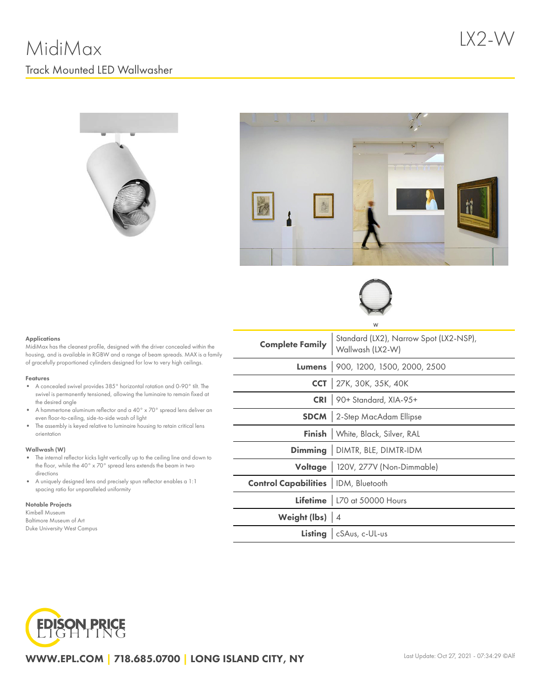LX2-W







#### Applications

MidiMax has the cleanest profile, designed with the driver concealed within the housing, and is available in RGBW and a range of beam spreads. MAX is a family of gracefully proportioned cylinders designed for low to very high ceilings.

#### Features

- A concealed swivel provides 385° horizontal rotation and 0-90° tilt. The swivel is permanently tensioned, allowing the luminaire to remain fixed at the desired angle
- $\bullet$ A hammertone aluminum reflector and a 40° x 70° spread lens deliver an even floor-to-ceiling, side-to-side wash of light
- The assembly is keyed relative to luminaire housing to retain critical lens orientation

#### Wallwash (W)

- The internal reflector kicks light vertically up to the ceiling line and down to the floor, while the 40° x 70° spread lens extends the beam in two directions
- A uniquely designed lens and precisely spun reflector enables a 1:1 spacing ratio for unparalleled uniformity

#### Notable Projects

Kimbell Museum Baltimore Museum of Art Duke University West Campus

|                                              | W                                                          |  |  |  |  |
|----------------------------------------------|------------------------------------------------------------|--|--|--|--|
| <b>Complete Family</b>                       | Standard (LX2), Narrow Spot (LX2-NSP),<br>Wallwash (LX2-W) |  |  |  |  |
|                                              | Lumens 900, 1200, 1500, 2000, 2500                         |  |  |  |  |
|                                              | CCT 27K, 30K, 35K, 40K                                     |  |  |  |  |
|                                              | CRI 90+ Standard, XIA-95+                                  |  |  |  |  |
|                                              | <b>SDCM</b> 2-Step MacAdam Ellipse                         |  |  |  |  |
|                                              | Finish   White, Black, Silver, RAL                         |  |  |  |  |
|                                              | <b>Dimming</b> DIMTR, BLE, DIMTR-IDM                       |  |  |  |  |
|                                              | Voltage   120V, 277V (Non-Dimmable)                        |  |  |  |  |
| <b>Control Capabilities</b>   IDM, Bluetooth |                                                            |  |  |  |  |
|                                              | Lifetime   L70 at 50000 Hours                              |  |  |  |  |
| Weight (lbs) 4                               |                                                            |  |  |  |  |
|                                              | Listing   cSAus, c-UL-us                                   |  |  |  |  |



WWW.EPL.COM | 718.685.0700 | LONG ISLAND CITY, NY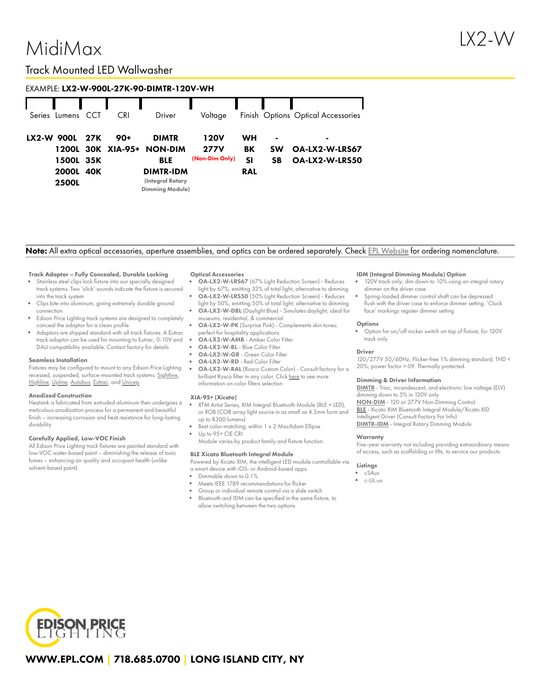# MidiMax

### EXAMPLE: LX2-W-900L-27K-90-DIMTR-120V-WH

|  | Series Lumens                                        | CCT | CRI                      | Driver                                                                                                         | Voltage                               |                              |                                          | Finish Options Optical Accessories                 |
|--|------------------------------------------------------|-----|--------------------------|----------------------------------------------------------------------------------------------------------------|---------------------------------------|------------------------------|------------------------------------------|----------------------------------------------------|
|  | LX2-W 900L<br>1500L 35K<br>2000L 40K<br><b>2500L</b> | 27K | 90+<br>1200L 30K XIA-95+ | <b>DIMTR</b><br><b>NON-DIM</b><br><b>BLE</b><br><b>DIMTR-IDM</b><br>(Integral Rotary<br><b>Dimming Module)</b> | 120V<br><b>277V</b><br>(Non-Dim Only) | WН<br>BK<br>SI<br><b>RAL</b> | $\blacksquare$<br><b>SW</b><br><b>SB</b> | $\blacksquare$<br>OA-LX2-W-LRS67<br>OA-LX2-W-LRS50 |

#### Note: All extra optical accessories, aperture assemblies, and optics can be ordered separately. Check EPL [Website](https://www.epl.com/) for ordering nomenclature.

#### Track Adaptor – Fully Concealed, Durable Locking

- Stainless steel clips lock fixture into our specially designed track systems. Two 'click' sounds indicate the fixture is secured into the track system
- Clips bite into aluminum, giving extremely durable ground connection
- Edison Price Lighting track systems are designed to completely conceal the adaptor for a clean profile
- Adaptors are shipped standard with all track fixtures. A Eutrac track adaptor can be used for mounting to Eutrac; 0-10V and DALI compatibility available. Contact factory for details

#### Seamless Installation

Fixtures may be configured to mount to any Edison Price Lighting recessed, suspended, surface-mounted track systems: [Sightline,](https://epl.com/sightline/) [Highline](https://epl.com/highline/), [Upline](https://epl.com/upline/), [Autobus,](https://epl.com/autobus/) [Eutrac,](https://eutrac.de/product/2surface-track-bus/?lang=en) and [Unicep.](https://epl.com/unicep/)

#### Anodized Construction

Heatsink is fabricated from extruded aluminum then undergoes a meticulous anodization process for a permanent and beautiful finish – increasing corrosion and heat resistance for long-lasting durability.

#### Carefully Applied, Low-VOC Finish

All Edison Price Lighting track fixtures are painted standard with low-VOC water-based paint – diminishing the release of toxic fumes – enhancing air quality and occupant health (unlike solvent-based paint).

#### Optical Accessories

- OA-LX2-W-LRS67 (67% Light Reduction Screen) Reduces light by 67%, emitting 33% of total light; alternative to dimming
- OA-LX2-W-LRS50 (50% Light Reduction Screen) Reduces light by 50%, emitting 50% of total light; alternative to dimming
- OA-LX2-W-DBL (Daylight Blue) Simulates daylight; ideal for museums, residential, & commercial
- OA-LX2-W-PK (Surprise Pink) Complements skin tones; perfect for hospitality applications
- OA-LX2-W-AMB Amber Color Filter
- OA-LX2-W-BL Blue Color Filter
- OA-LX2-W-GR Green Color Filter

information on color filters selection

OA-LX2-W-RD - Red Color Filter OA-LX2-W-RAL (Rosco Custom Color) - Consult factory for a brilliant Rosco filter in any color. Click [here](https://us.rosco.com/en/products/catalog/roscolux) to see more

#### XIA-95+ (Xicato)

- XTM Artist Series, XIM Integral Bluetooth Module (BLE + LED), or XOB (COB array light source in as small as 4.5mm form and up to 8300 lumens)
- Best color-matching: within 1 x 2 MacAdam Ellipse Up to 95+ CIE CRI
- Module varies by product family and fixture function.

#### BLE Xicato Bluetooth Integral Module

Powered by Xicato XIM, the intelligent LED module controllable via a smart device with iOS- or Android-based apps.

- Dimmable down to 0.1%
- Meets IEEE 1789 recommendations for flicker
- Group or individual remote control via a slide switch Bluetooth and IDM can be specified in the same fixture, to allow switching between the two options

#### IDM (Integral Dimming Module) Option

- 120V track only; dim down to 10% using an integral rotary dimmer on the driver case
- Spring-loaded dimmer control shaft can be depressed flush with the driver case to enforce dimmer setting. 'Clock face' markings register dimmer setting

#### **Options**

Option for on/off rocker switch on top of fixture, for 120V track only

#### Driver

120/277V 50/60Hz; Flicker-free 1% dimming standard; THD < 20%; power factor >.09. Thermally protected.

#### Dimming & Driver Information

[DIMTR](http://epl.com/media/driver/dimtr.pdf) - Triac, incandescent, and electronic low voltage (ELV) dimming down to 5% in 120V only

[NON-DIM](http://epl.com/media/driver/non-dim.pdf) - 120 or 277V Non-Dimming Control [BLE](http://epl.com/media/driver/ble.pdf) - Xicato XIM Bluetooth Integral Module/Xicato XID Intelligent Driver (Consult Factory For Info) [DIMTR-IDM](http://epl.com/media/driver/dimtr-idm.pdf) - Integral Rotary Dimming Module

#### **Warranty**

Five-year warranty not including providing extraordinary means of access, such as scaffolding or lifts, to service our products.

#### Listings

- cSAus
- c-UL-us